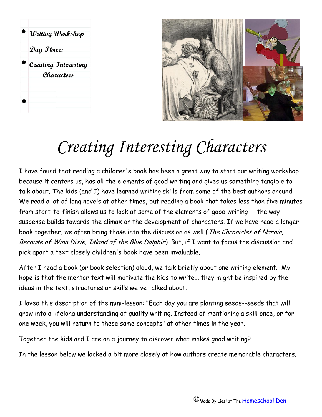



## *Creating Interesting Characters*

I have found that reading a children's book has been a great way to start our writing workshop because it centers us, has all the elements of good writing and gives us something tangible to talk about. The kids (and I) have learned writing skills from some of the best authors around! We read a lot of long novels at other times, but reading a book that takes less than five minutes from start-to-finish allows us to look at some of the elements of good writing -- the way suspense builds towards the climax or the development of characters. If we have read a longer book together, we often bring those into the discussion as well (The Chronicles of Narnia, Because of Winn Dixie, Island of the Blue Dolphin). But, if I want to focus the discussion and pick apart a text closely children's book have been invaluable.

After I read a book (or book selection) aloud, we talk briefly about one writing element. My hope is that the mentor text will motivate the kids to write... they might be inspired by the ideas in the text, structures or skills we've talked about.

I loved this description of the mini-lesson: "Each day you are planting seeds--seeds that will grow into a lifelong understanding of quality writing. Instead of mentioning a skill once, or for one week, you will return to these same concepts" at other times in the year.

Together the kids and I are on a journey to discover what makes good writing?

In the lesson below we looked a bit more closely at how authors create memorable characters.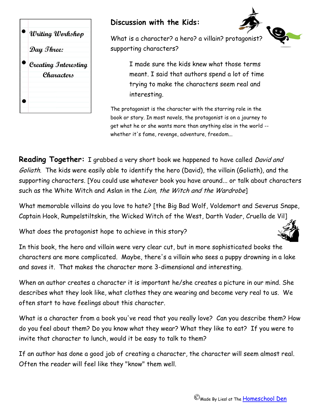

## **Discussion with the Kids:**



What is a character? a hero? a villain? protagonist? supporting characters?

> I made sure the kids knew what those terms meant. I said that authors spend a lot of time trying to make the characters seem real and interesting.

The protagonist is the character with the starring role in the book or story. In most novels, the protagonist is on a journey to get what he or she wants more than anything else in the world - whether it's fame, revenge, adventure, freedom...

**Reading Together:** I grabbed a very short book we happened to have called David and Goliath. The kids were easily able to identify the hero (David), the villain (Goliath), and the supporting characters. [You could use whatever book you have around... or talk about characters such as the White Witch and Aslan in the Lion, the Witch and the Wardrobe]

What memorable villains do you love to hate? [the Big Bad Wolf, Voldemort and Severus Snape, Captain Hook, Rumpelstiltskin, the Wicked Witch of the West, Darth Vader, Cruella de Vil]

What does the protagonist hope to achieve in this story?

In this book, the hero and villain were very clear cut, but in more sophisticated books the characters are more complicated. Maybe, there's a villain who sees a puppy drowning in a lake and saves it. That makes the character more 3-dimensional and interesting.

When an author creates a character it is important he/she creates a picture in our mind. She describes what they look like, what clothes they are wearing and become very real to us. We often start to have feelings about this character.

What is a character from a book you've read that you really love? Can you describe them? How do you feel about them? Do you know what they wear? What they like to eat? If you were to invite that character to lunch, would it be easy to talk to them?

If an author has done a good job of creating a character, the character will seem almost real. Often the reader will feel like they "know" them well.